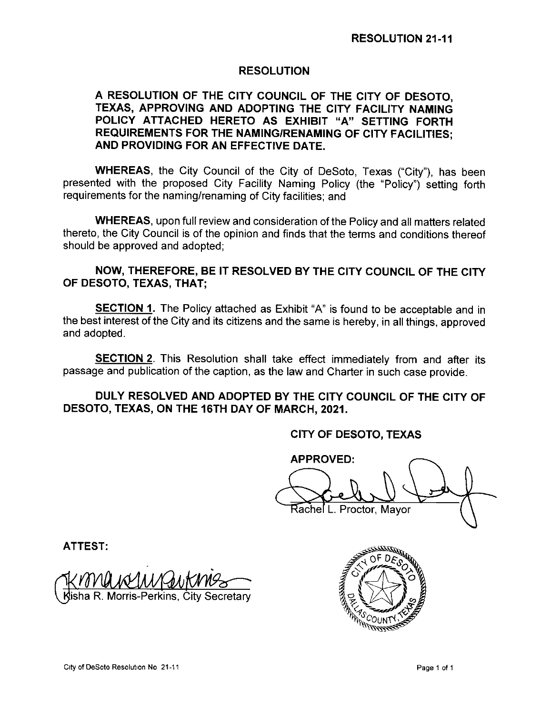## RESOLUTION

## A RESOLUTION OF THE CITY COUNCIL OF THE CITY OF DESOTO, TEXAS, APPROVING AND ADOPTING THE CITY FACILITY NAMING POLICY ATTACHED HERETO AS EXHIBIT "A" SETTING FORTH REQUIREMENTS FOR THE NAMING/RENAMING OF CITY FACILITIES; AND PROVIDING FOR AN EFFECTIVE DATE.

WHEREAS, the City Council of the City of DeSoto, Texas ("City"), has been presented with the proposed City Facility Naming Policy (the "Policy") setting forth requirements for the naming/renaming of City facilities; and

WHEREAS, upon full review and consideration of the Policy and all matters related thereto, the City Council is of the opinion and finds that the terms and conditions thereof should be approved and adopted;

## NOW, THEREFORE, BE IT RESOLVED BY THE CITY COUNCIL OF THE CITY OF DESOTO, TEXAS, THAT;

**SECTION 1.** The Policy attached as Exhibit "A" is found to be acceptable and in the best interest of the City and its citizens and the same is hereby, in all things, approved and adopted.

**SECTION 2.** This Resolution shall take effect immediately from and after its passage and publication of the caption, as the law and Charter in such case provide.

## DULY RESOLVED AND ADOPTED BY THE CITY COUNCIL OF THE CITY OF DESOTO, TEXAS, ON THE 16TH DAY OF MARCH, 2021.

CITY OF DESOTO, TEXAS

APPROVED: as<br>Led Rachel L. Proctor, Mayor  $\diagdown$ 

ATTEST:

l<br>Cal <u>Gutima</u> Iisha R. Morris-Perkins, City Secretary

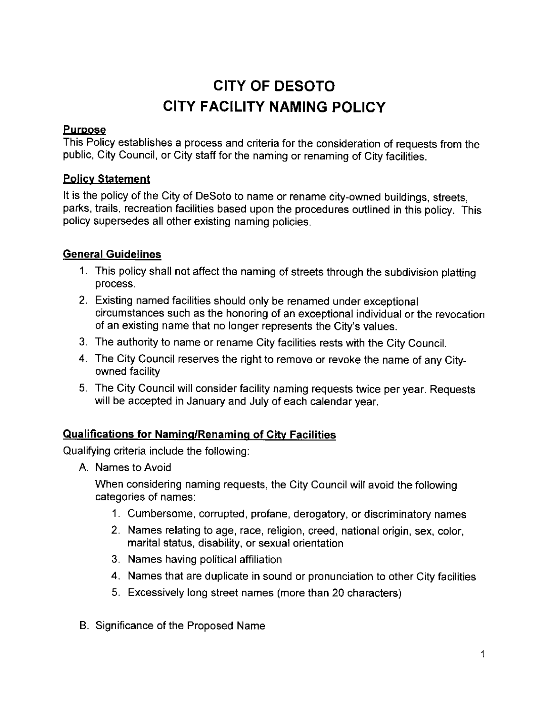# CITY OF DESOTO CITY FACILITY NAMING POLICY

## **Purpose**

This Policy establishes a process and criteria for the consideration of requests from the public, City Council, or City staff for the naming or renaming of City facilities.

# Policy Statement

It is the policy of the City of DeSoto to name or rename city-owned buildings, streets, parks, trails, recreation facilities based upon the procedures outlined in this policy. This policy supersedes all other existing naming policies.

# General Guidelines

- 1. This policy shall not affect the naming of streets through the subdivision platting process.
- 2. Existing named facilities should only be renamed under exceptional circumstances such as the honoring of an exceptional individual or the revocation of an existing name that no longer represents the City's values.
- 3. The authority to name or rename City facilities rests with the City Council.
- 4. The City Council reserves the right to remove or revoke the name of any Cityowned facility
- 5. The City Council will consider facility naming requests twice per year. Requests will be accepted in January and July of each calendar year.

# Qualifications for Naming/Renaming of City Facilities

Qualifying criteria include the following:

A. Names to Avoid

When considering naming requests, the City Council will avoid the following categories of names:

- 1. Cumbersome, corrupted, profane, derogatory, or discriminatory names
- 2. Names relating to age, race, religion, creed, national origin, sex, color, marital status, disability, or sexual orientation
- 3. Names having political affiliation
- 4. Names that are duplicate in sound or pronunciation to other City facilities
- 5. Excessively long street names ( more than 20 characters)
- B. Significance of the Proposed Name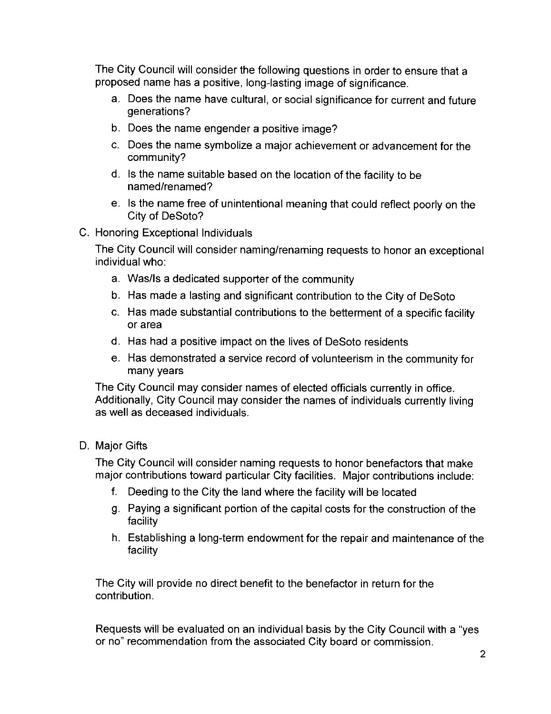The City Council will consider the following questions in order to ensure that a proposed name has a positive, long-lasting image of significance.

- a. Does the name have cultural, or social significance for current and future generations?
- b. Does the name engender a positive image?
- c. Does the name symbolize a major achievement or advancement for the community?
- d. Is the name suitable based on the location of the facility to be named/renamed?
- e. Is the name free of unintentional meaning that could reflect poorly on the City of DeSoto?
- C. Honoring Exceptional Individuals

The City Council will consider naming/renaming requests to honor an exceptional individual who:

- a. Was/Is a dedicated supporter of the community
- b. Has made a lasting and significant contribution to the City of DeSoto
- c. Has made substantial contributions to the betterment of a specific facility or area
- d. Has had a positive impact on the lives of DeSoto residents
- e. Has demonstrated a service record of volunteerism in the community for many years

The City Council may consider names of elected officials currently in office. Additionally, City Council may consider the names of individuals currently living as well as deceased individuals.

# D. Major Gifts

The City Council will consider naming requests to honor benefactors that make major contributions toward particular City facilities. Major contributions include:

- f. Deeding to the City the land where the facility will be located
- g. Paying a significant portion of the capital costs for the construction of the facility
- h. Establishing a long-term endowment for the repair and maintenance of the facility

The City will provide no direct benefit to the benefactor in return for the contribution.

Requests will be evaluated on an individual basis by the City Council with a " yes or no" recommendation from the associated City board or commission.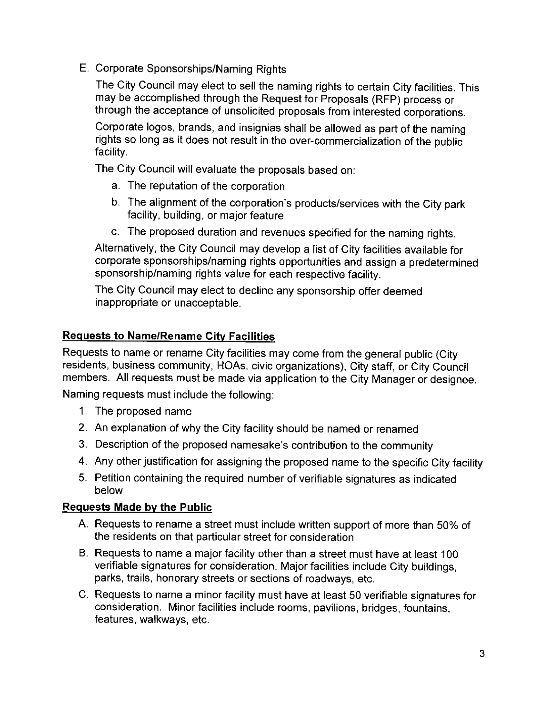E. Corporate Sponsorships/Naming Rights

The City Council may elect to sell the naming rights to certain City facilities. This may be accomplished through the Request for Proposals ( RFP) process or through the acceptance of unsolicited proposals from interested corporations.

Corporate logos, brands, and insignias shall be allowed as part of the naming rights so long as it does not result in the over- commercialization of the public facility.

The City Council will evaluate the proposals based on:

- a. The reputation of the corporation
- b. The alignment of the corporation's products/services with the City park facility, building, or major feature
- c. The proposed duration and revenues specified for the naming rights.

Alternatively, the City Council may develop a list of City facilities available for corporate sponsorships/naming rights opportunities and assign a predetermined sponsorship/naming rights value for each respective facility.

The City Council may elect to decline any sponsorship offer deemed inappropriate or unacceptable.

# **Requests to Name/Rename City Facilities**

Requests to name or rename City facilities may come from the general public ( City residents, business community, HOAs, civic organizations), City staff, or City Council members. All requests must be made via application to the City Manager or designee.

Naming requests must include the following:

- 1. The proposed name
- 2. An explanation of why the City facility should be named or renamed
- 3. Description of the proposed namesake's contribution to the community
- 4. Any other justification for assigning the proposed name to the specific City facility
- 5. Petition containing the required number of verifiable signatures as indicated below

## Requests Made by the Public

- A. Requests to rename a street must include written support of more than 50% of the residents on that particular street for consideration
- B. Requests to name a major facility other than a street must have at least 100 verifiable signatures for consideration. Major facilities include City buildings, parks, trails, honorary streets or sections of roadways, etc.
- C. Requests to name a minor facility must have at least 50 verifiable signatures for consideration. Minor facilities include rooms, pavilions, bridges, fountains, features, walkways, etc.